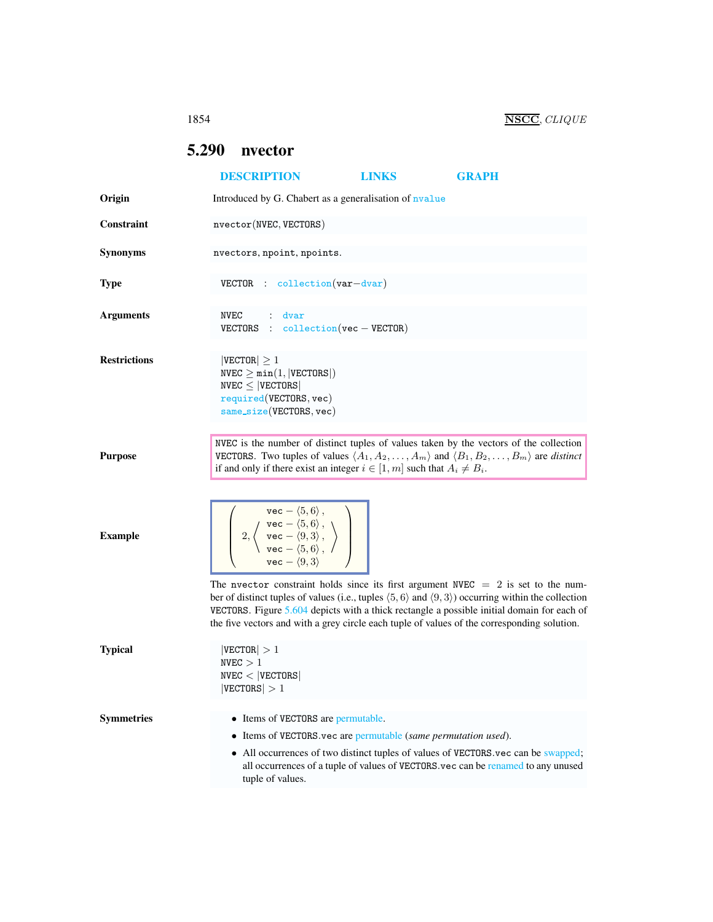## <span id="page-0-0"></span>5.290 nvector

|                     | <b>DESCRIPTION</b>                                                                                                                                                                                                                                                                                                                                                                                                     | <b>LINKS</b> | <b>GRAPH</b>                                                                                                                                                          |
|---------------------|------------------------------------------------------------------------------------------------------------------------------------------------------------------------------------------------------------------------------------------------------------------------------------------------------------------------------------------------------------------------------------------------------------------------|--------------|-----------------------------------------------------------------------------------------------------------------------------------------------------------------------|
| Origin              | Introduced by G. Chabert as a generalisation of nvalue                                                                                                                                                                                                                                                                                                                                                                 |              |                                                                                                                                                                       |
| <b>Constraint</b>   | nvector(NVEC, VECTORS)                                                                                                                                                                                                                                                                                                                                                                                                 |              |                                                                                                                                                                       |
| <b>Synonyms</b>     | nvectors, npoint, npoints.                                                                                                                                                                                                                                                                                                                                                                                             |              |                                                                                                                                                                       |
| <b>Type</b>         | $VECTOR$ : collection $(var-dvar)$                                                                                                                                                                                                                                                                                                                                                                                     |              |                                                                                                                                                                       |
| <b>Arguments</b>    | NVEC : dvar<br>VECTORS : $\text{collection}(\text{vec}-\text{VECTOR})$                                                                                                                                                                                                                                                                                                                                                 |              |                                                                                                                                                                       |
| <b>Restrictions</b> | $ {\tt VECTOR}  \geq 1$<br>$NVEC \geq min(1,  VECTORS )$<br>$NVEC \leq  VECTORS $<br>required (VECTORS, vec)<br>$same\_size(VECTORS, vec)$                                                                                                                                                                                                                                                                             |              |                                                                                                                                                                       |
| <b>Purpose</b>      | NVEC is the number of distinct tuples of values taken by the vectors of the collection<br><b>VECTORS.</b> Two tuples of values $\langle A_1, A_2, \ldots, A_m \rangle$ and $\langle B_1, B_2, \ldots, B_m \rangle$ are <i>distinct</i><br>if and only if there exist an integer $i \in [1, m]$ such that $A_i \neq B_i$ .                                                                                              |              |                                                                                                                                                                       |
| <b>Example</b>      | $\left\{\begin{array}{c} \texttt{vec} - \langle 5, 6 \rangle\,,\ \left\{\begin{array}{c} \texttt{vec} - \langle 5, 6 \rangle\,,\ \left\{\begin{array}{c} \texttt{vec} - \langle 5, 6 \rangle\,,\ \left\{\begin{array}{c} \texttt{vec} - \langle 5, 6 \rangle\,,\ \left\{\begin{array}{c} \texttt{vec} - \langle 5, 6 \rangle\,,\ \end{array}\right\}\end{array}\right\}\end{array}\right\}\end{array}\right\}$         |              |                                                                                                                                                                       |
|                     | The nvector constraint holds since its first argument NVEC $= 2$ is set to the num-<br>ber of distinct tuples of values (i.e., tuples $\langle 5, 6 \rangle$ and $\langle 9, 3 \rangle$ ) occurring within the collection<br>VECTORS. Figure 5.604 depicts with a thick rectangle a possible initial domain for each of<br>the five vectors and with a grey circle each tuple of values of the corresponding solution. |              |                                                                                                                                                                       |
| <b>Typical</b>      | $ {\tt VECTOR}  > 1$<br>NVEC > 1<br>NVEC <  VECTORS <br>$ \texttt{VECTORS}  > 1$                                                                                                                                                                                                                                                                                                                                       |              |                                                                                                                                                                       |
| <b>Symmetries</b>   | • Items of VECTORS are permutable.<br>• Items of VECTORS vec are permutable (same permutation used).<br>tuple of values.                                                                                                                                                                                                                                                                                               |              | • All occurrences of two distinct tuples of values of VECTORS vec can be swapped;<br>all occurrences of a tuple of values of VECTORS.vec can be renamed to any unused |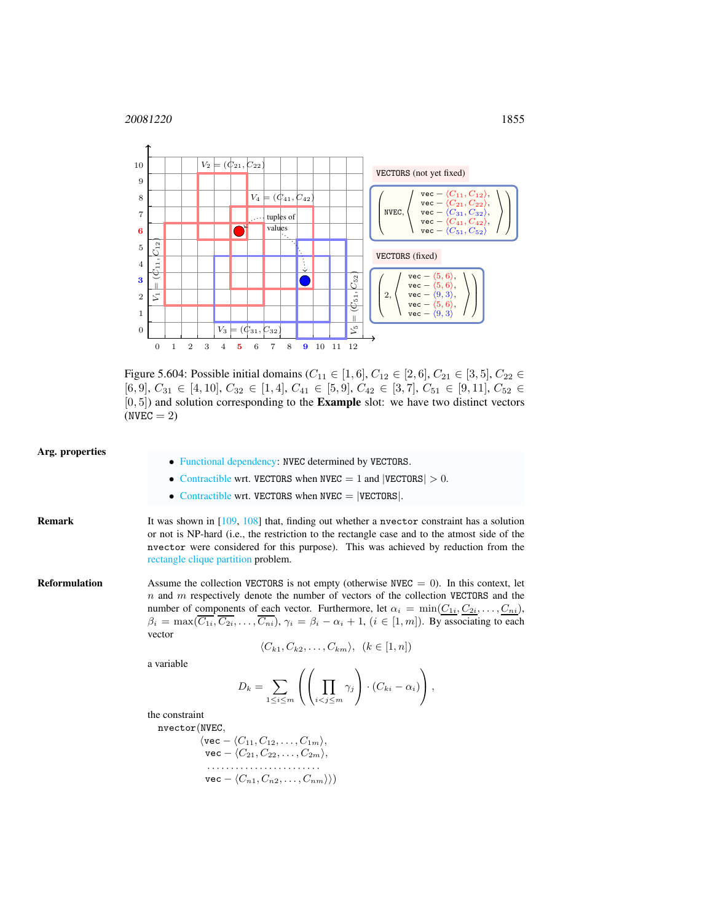<sup>20081220</sup> 1855



<span id="page-1-0"></span>Figure 5.604: Possible initial domains ( $C_{11} \in [1, 6]$ ,  $C_{12} \in [2, 6]$ ,  $C_{21} \in [3, 5]$ ,  $C_{22} \in$  $[6, 9], C_{31} \in [4, 10], C_{32} \in [1, 4], C_{41} \in [5, 9], C_{42} \in [3, 7], C_{51} \in [9, 11], C_{52} \in$  $[0, 5]$ ) and solution corresponding to the **Example** slot: we have two distinct vectors  $(NVEC = 2)$ 

| Arg. properties      | • Functional dependency: NVEC determined by VECTORS.<br>• Contractible wrt. VECTORS when NVEC $= 1$ and $ VECTORS  > 0$ .<br>• Contractible wrt. VECTORS when NVEC $=$  VECTORS .                                                                                                                                                                                                                                                                                                                                                         |  |  |
|----------------------|-------------------------------------------------------------------------------------------------------------------------------------------------------------------------------------------------------------------------------------------------------------------------------------------------------------------------------------------------------------------------------------------------------------------------------------------------------------------------------------------------------------------------------------------|--|--|
| <b>Remark</b>        | It was shown in $[109, 108]$ that, finding out whether a nvector constraint has a solution<br>or not is NP-hard (i.e., the restriction to the rectangle case and to the atmost side of the<br>nvector were considered for this purpose). This was achieved by reduction from the<br>rectangle clique partition problem.                                                                                                                                                                                                                   |  |  |
| <b>Reformulation</b> | Assume the collection VECTORS is not empty (otherwise NVEC $= 0$ ). In this context, let<br>n and m respectively denote the number of vectors of the collection VECTORS and the<br>number of components of each vector. Furthermore, let $\alpha_i = \min(C_{1i}, C_{2i}, \dots, C_{ni}),$<br>$\beta_i = \max(\overline{C_{1i}}, \overline{C_{2i}}, \dots, \overline{C_{ni}}), \gamma_i = \beta_i - \alpha_i + 1, (i \in [1, m]).$ By associating to each<br>vector<br>$\langle C_{k1}, C_{k2}, \ldots, C_{km} \rangle, \ (k \in [1, n])$ |  |  |
|                      | a variable<br>$D_k = \sum_{1 \leq i \leq m} \left( \left( \prod_{i \leq i \leq m} \gamma_j \right) \cdot (C_{ki} - \alpha_i) \right),$                                                                                                                                                                                                                                                                                                                                                                                                    |  |  |
|                      | the constraint<br>nvector(NVEC,<br>$\langle \texttt{vec} - \langle C_{11}, C_{12}, \ldots, C_{1m} \rangle,$<br>$\texttt{vec} - \langle C_{21}, C_{22}, \ldots, C_{2m} \rangle,$                                                                                                                                                                                                                                                                                                                                                           |  |  |

$$
\mathsf{vec} - \langle C_{n1}, C_{n2}, \ldots, C_{nm} \rangle \rangle)
$$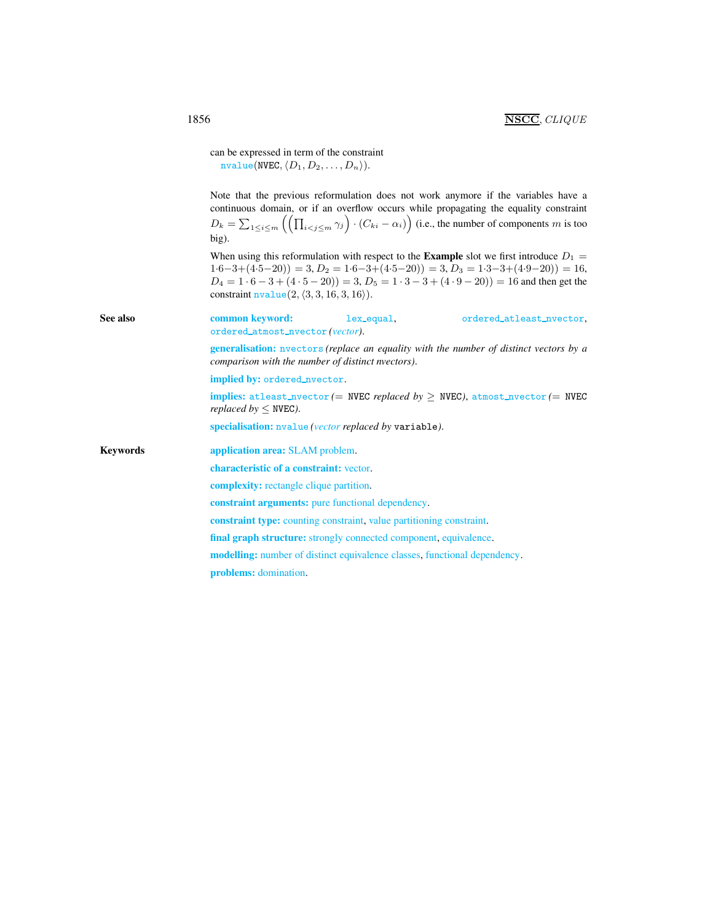<span id="page-2-0"></span>

|          | can be expressed in term of the constraint<br>$nvalue(NVEC, \langle D_1, D_2, \ldots, D_n \rangle).$                                                                                                                                                                                                                                                      |  |  |  |
|----------|-----------------------------------------------------------------------------------------------------------------------------------------------------------------------------------------------------------------------------------------------------------------------------------------------------------------------------------------------------------|--|--|--|
|          | Note that the previous reformulation does not work anymore if the variables have a<br>continuous domain, or if an overflow occurs while propagating the equality constraint<br>$D_k = \sum_{1 \le i \le m} \left( \left( \prod_{i \le j \le m} \gamma_j \right) \cdot (C_{ki} - \alpha_i) \right)$ (i.e., the number of components m is too<br>big).      |  |  |  |
|          | When using this reformulation with respect to the <b>Example</b> slot we first introduce $D_1 =$<br>$1.6-3+(4.5-20) = 3, D_2 = 1.6-3+(4.5-20) = 3, D_3 = 1.3-3+(4.9-20) = 16,$<br>$D_4 = 1 \cdot 6 - 3 + (4 \cdot 5 - 20) = 3, D_5 = 1 \cdot 3 - 3 + (4 \cdot 9 - 20) = 16$ and then get the<br>constraint $nvalue(2, \langle 3, 3, 16, 3, 16 \rangle)$ . |  |  |  |
| See also | common keyword:<br>lex_equal,<br>ordered_atleast_nvector,<br>ordered_atmost_nvector(vector).                                                                                                                                                                                                                                                              |  |  |  |
|          | <b>generalisation:</b> nvectors (replace an equality with the number of distinct vectors by a<br>comparison with the number of distinct nyectors).                                                                                                                                                                                                        |  |  |  |
|          | implied by: ordered_nvector.                                                                                                                                                                                                                                                                                                                              |  |  |  |
|          | implies: atleast_nvector (= NVEC replaced by > NVEC), atmost_nvector (= NVEC<br>replaced by $\leq$ NVEC).                                                                                                                                                                                                                                                 |  |  |  |
|          | specialisation: nvalue (vector replaced by variable).                                                                                                                                                                                                                                                                                                     |  |  |  |
| Keywords | application area: SLAM problem.                                                                                                                                                                                                                                                                                                                           |  |  |  |
|          | characteristic of a constraint: vector.                                                                                                                                                                                                                                                                                                                   |  |  |  |
|          | <b>complexity:</b> rectangle clique partition.                                                                                                                                                                                                                                                                                                            |  |  |  |
|          | <b>constraint arguments:</b> pure functional dependency.                                                                                                                                                                                                                                                                                                  |  |  |  |
|          | <b>constraint type:</b> counting constraint, value partitioning constraint.                                                                                                                                                                                                                                                                               |  |  |  |
|          | <b>final graph structure:</b> strongly connected component, equivalence.                                                                                                                                                                                                                                                                                  |  |  |  |
|          | <b>modelling:</b> number of distinct equivalence classes, functional dependency.                                                                                                                                                                                                                                                                          |  |  |  |
|          | <b>problems:</b> domination.                                                                                                                                                                                                                                                                                                                              |  |  |  |